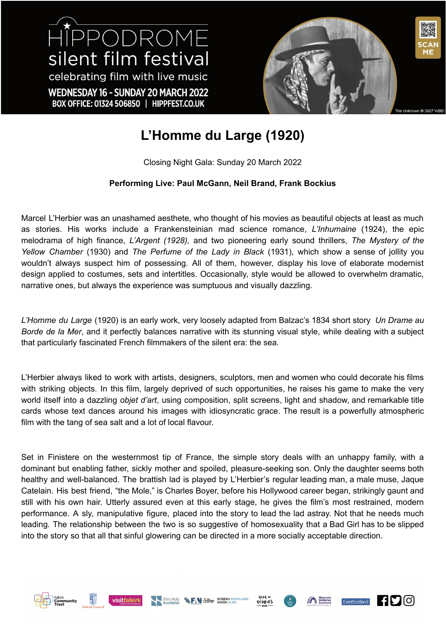HIPPODROME silent film festival celebrating film with live music WEDNESDAY 16 - SUNDAY 20 MARCH 2022 BOX OFFICE: 01324 506850 | HIPPFEST.CO.UK



## **L'Homme du Large (1920)**

Closing Night Gala: Sunday 20 March 2022

## **Performing Live: Paul McGann, Neil Brand, Frank Bockius**

Marcel L'Herbier was an unashamed aesthete, who thought of his movies as beautiful objects at least as much as stories. His works include a Frankensteinian mad science romance, *L'Inhumaine* (1924), the epic melodrama of high finance, *L'Argent (1928),* and two pioneering early sound thrillers, *The Mystery of the Yellow Chamber* (1930) and *The Perfume of the Lady in Black* (1931), which show a sense of jollity you wouldn't always suspect him of possessing. All of them, however, display his love of elaborate modernist design applied to costumes, sets and intertitles. Occasionally, style would be allowed to overwhelm dramatic, narrative ones, but always the experience was sumptuous and visually dazzling.

*L'Homme du Large* (1920) is an early work, very loosely adapted from Balzac's 1834 short story *Un Drame au Borde de la Mer*, and it perfectly balances narrative with its stunning visual style, while dealing with a subject that particularly fascinated French filmmakers of the silent era: the sea.

L'Herbier always liked to work with artists, designers, sculptors, men and women who could decorate his films with striking objects. In this film, largely deprived of such opportunities, he raises his game to make the very world itself into a dazzling *objet d'art*, using composition, split screens, light and shadow, and remarkable title cards whose text dances around his images with idiosyncratic grace. The result is a powerfully atmospheric film with the tang of sea salt and a lot of local flavour.

Set in Finistere on the westernmost tip of France, the simple story deals with an unhappy family, with a dominant but enabling father, sickly mother and spoiled, pleasure-seeking son. Only the daughter seems both healthy and well-balanced. The brattish lad is played by L'Herbier's regular leading man, a male muse, Jaque Catelain. His best friend, "the Mole," is Charles Boyer, before his Hollywood career began, strikingly gaunt and still with his own hair. Utterly assured even at this early stage, he gives the film's most restrained, modern performance. A sly, manipulative figure, placed into the story to lead the lad astray. Not that he needs much leading. The relationship between the two is so suggestive of homosexuality that a Bad Girl has to be slipped into the story so that all that sinful glowering can be directed in a more socially acceptable direction.











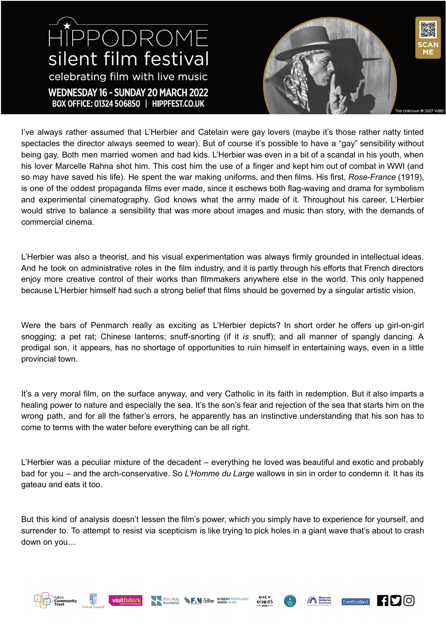## HIPPODROME silent film festival celebrating film with live music WEDNESDAY 16 - SUNDAY 20 MARCH 2022 BOX OFFICE: 01324 506850 | HIPPFEST.CO.UK



I've always rather assumed that L'Herbier and Catelain were gay lovers (maybe it's those rather natty tinted spectacles the director always seemed to wear). But of course it's possible to have a "gay" sensibility without being gay. Both men married women and had kids. L'Herbier was even in a bit of a scandal in his youth, when his lover Marcelle Rahna shot him. This cost him the use of a finger and kept him out of combat in WWI (and so may have saved his life). He spent the war making uniforms, and then films. His first, *Rose-France* (1919), is one of the oddest propaganda films ever made, since it eschews both flag-waving and drama for symbolism and experimental cinematography. God knows what the army made of it. Throughout his career, L'Herbier would strive to balance a sensibility that was more about images and music than story, with the demands of commercial cinema.

L'Herbier was also a theorist, and his visual experimentation was always firmly grounded in intellectual ideas. And he took on administrative roles in the film industry, and it is partly through his efforts that French directors enjoy more creative control of their works than filmmakers anywhere else in the world. This only happened because L'Herbier himself had such a strong belief that films should be governed by a singular artistic vision.

Were the bars of Penmarch really as exciting as L'Herbier depicts? In short order he offers up girl-on-girl snogging; a pet rat; Chinese lanterns; snuff-snorting (if it *is* snuff); and all manner of spangly dancing. A prodigal son, it appears, has no shortage of opportunities to ruin himself in entertaining ways, even in a little provincial town.

It's a very moral film, on the surface anyway, and very Catholic in its faith in redemption. But it also imparts a healing power to nature and especially the sea. It's the son's fear and rejection of the sea that starts him on the wrong path, and for all the father's errors, he apparently has an instinctive understanding that his son has to come to terms with the water before everything can be all right.

L'Herbier was a peculiar mixture of the decadent – everything he loved was beautiful and exotic and probably bad for you – and the arch-conservative. So *L'Homme du Large* wallows in sin in order to condemn it. It has its gateau and eats it too.

But this kind of analysis doesn't lessen the film's power, which you simply have to experience for yourself, and surrender to. To attempt to resist via scepticism is like trying to pick holes in a giant wave that's about to crash down on you…